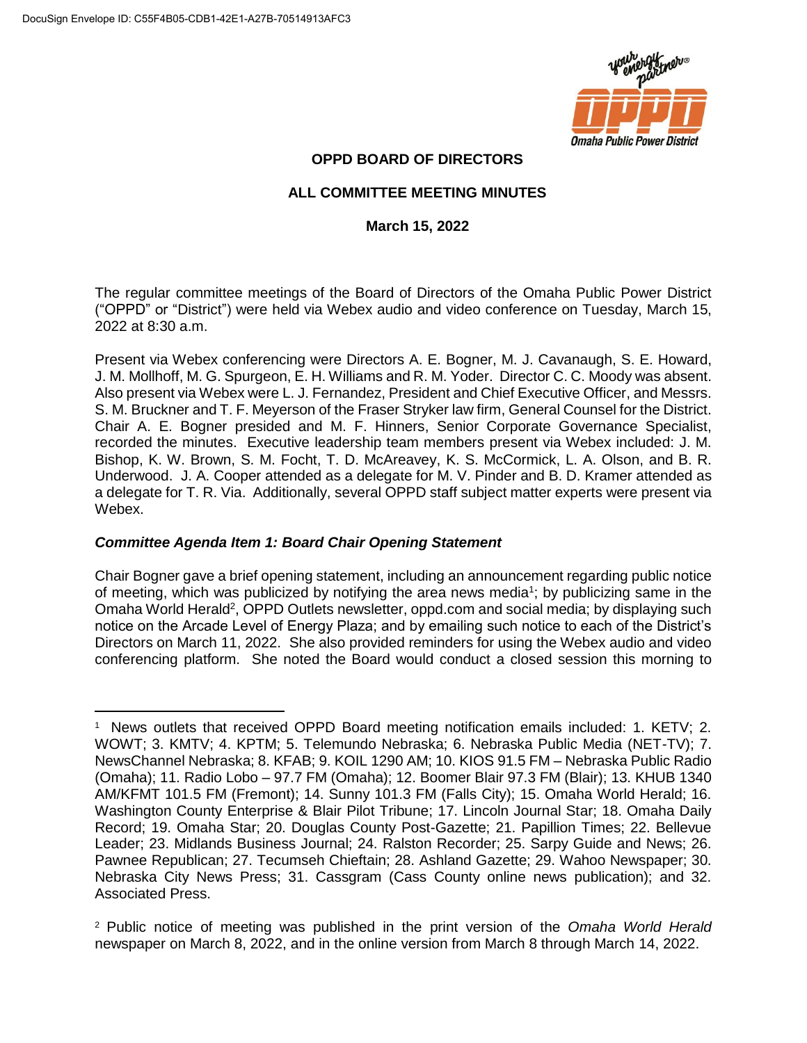

# **OPPD BOARD OF DIRECTORS**

# **ALL COMMITTEE MEETING MINUTES**

# **March 15, 2022**

The regular committee meetings of the Board of Directors of the Omaha Public Power District ("OPPD" or "District") were held via Webex audio and video conference on Tuesday, March 15, 2022 at 8:30 a.m.

Present via Webex conferencing were Directors A. E. Bogner, M. J. Cavanaugh, S. E. Howard, J. M. Mollhoff, M. G. Spurgeon, E. H. Williams and R. M. Yoder. Director C. C. Moody was absent. Also present via Webex were L. J. Fernandez, President and Chief Executive Officer, and Messrs. S. M. Bruckner and T. F. Meyerson of the Fraser Stryker law firm, General Counsel for the District. Chair A. E. Bogner presided and M. F. Hinners, Senior Corporate Governance Specialist, recorded the minutes. Executive leadership team members present via Webex included: J. M. Bishop, K. W. Brown, S. M. Focht, T. D. McAreavey, K. S. McCormick, L. A. Olson, and B. R. Underwood. J. A. Cooper attended as a delegate for M. V. Pinder and B. D. Kramer attended as a delegate for T. R. Via. Additionally, several OPPD staff subject matter experts were present via Webex.

# *Committee Agenda Item 1: Board Chair Opening Statement*

Chair Bogner gave a brief opening statement, including an announcement regarding public notice of meeting, which was publicized by notifying the area news media<sup>1</sup>; by publicizing same in the Omaha World Herald<sup>2</sup>, OPPD Outlets newsletter, oppd.com and social media; by displaying such notice on the Arcade Level of Energy Plaza; and by emailing such notice to each of the District's Directors on March 11, 2022. She also provided reminders for using the Webex audio and video conferencing platform. She noted the Board would conduct a closed session this morning to

 $\overline{a}$ <sup>1</sup> News outlets that received OPPD Board meeting notification emails included: 1. KETV; 2. WOWT; 3. KMTV; 4. KPTM; 5. Telemundo Nebraska; 6. Nebraska Public Media (NET-TV); 7. NewsChannel Nebraska; 8. KFAB; 9. KOIL 1290 AM; 10. KIOS 91.5 FM – Nebraska Public Radio (Omaha); 11. Radio Lobo – 97.7 FM (Omaha); 12. Boomer Blair 97.3 FM (Blair); 13. KHUB 1340 AM/KFMT 101.5 FM (Fremont); 14. Sunny 101.3 FM (Falls City); 15. Omaha World Herald; 16. Washington County Enterprise & Blair Pilot Tribune; 17. Lincoln Journal Star; 18. Omaha Daily Record; 19. Omaha Star; 20. Douglas County Post-Gazette; 21. Papillion Times; 22. Bellevue Leader; 23. Midlands Business Journal; 24. Ralston Recorder; 25. Sarpy Guide and News; 26. Pawnee Republican; 27. Tecumseh Chieftain; 28. Ashland Gazette; 29. Wahoo Newspaper; 30. Nebraska City News Press; 31. Cassgram (Cass County online news publication); and 32. Associated Press.

<sup>2</sup> Public notice of meeting was published in the print version of the *Omaha World Herald* newspaper on March 8, 2022, and in the online version from March 8 through March 14, 2022.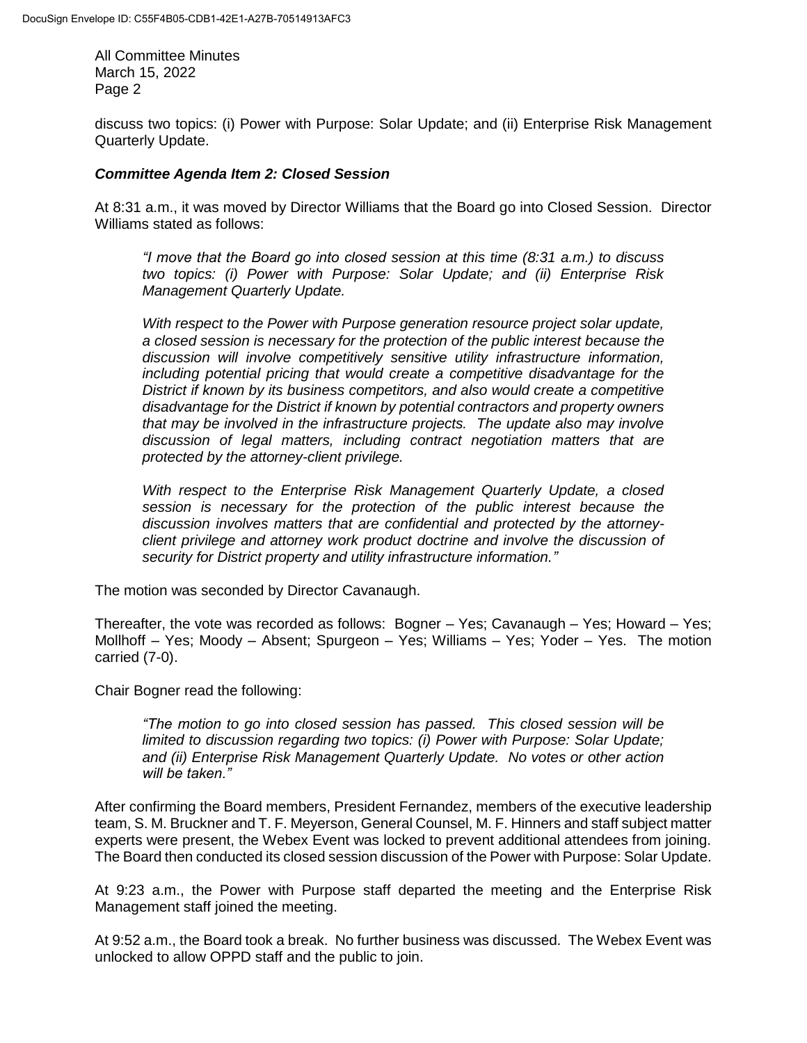discuss two topics: (i) Power with Purpose: Solar Update; and (ii) Enterprise Risk Management Quarterly Update.

# *Committee Agenda Item 2: Closed Session*

At 8:31 a.m., it was moved by Director Williams that the Board go into Closed Session. Director Williams stated as follows:

*"I move that the Board go into closed session at this time (8:31 a.m.) to discuss two topics: (i) Power with Purpose: Solar Update; and (ii) Enterprise Risk Management Quarterly Update.* 

*With respect to the Power with Purpose generation resource project solar update, a closed session is necessary for the protection of the public interest because the discussion will involve competitively sensitive utility infrastructure information, including potential pricing that would create a competitive disadvantage for the District if known by its business competitors, and also would create a competitive disadvantage for the District if known by potential contractors and property owners that may be involved in the infrastructure projects. The update also may involve discussion of legal matters, including contract negotiation matters that are protected by the attorney-client privilege.*

*With respect to the Enterprise Risk Management Quarterly Update, a closed session is necessary for the protection of the public interest because the discussion involves matters that are confidential and protected by the attorneyclient privilege and attorney work product doctrine and involve the discussion of security for District property and utility infrastructure information."*

The motion was seconded by Director Cavanaugh.

Thereafter, the vote was recorded as follows: Bogner – Yes; Cavanaugh – Yes; Howard – Yes; Mollhoff – Yes; Moody – Absent; Spurgeon – Yes; Williams – Yes; Yoder – Yes. The motion carried (7-0).

Chair Bogner read the following:

*"The motion to go into closed session has passed. This closed session will be limited to discussion regarding two topics: (i) Power with Purpose: Solar Update; and (ii) Enterprise Risk Management Quarterly Update. No votes or other action will be taken."*

After confirming the Board members, President Fernandez, members of the executive leadership team, S. M. Bruckner and T. F. Meyerson, General Counsel, M. F. Hinners and staff subject matter experts were present, the Webex Event was locked to prevent additional attendees from joining. The Board then conducted its closed session discussion of the Power with Purpose: Solar Update.

At 9:23 a.m., the Power with Purpose staff departed the meeting and the Enterprise Risk Management staff joined the meeting.

At 9:52 a.m., the Board took a break. No further business was discussed. The Webex Event was unlocked to allow OPPD staff and the public to join.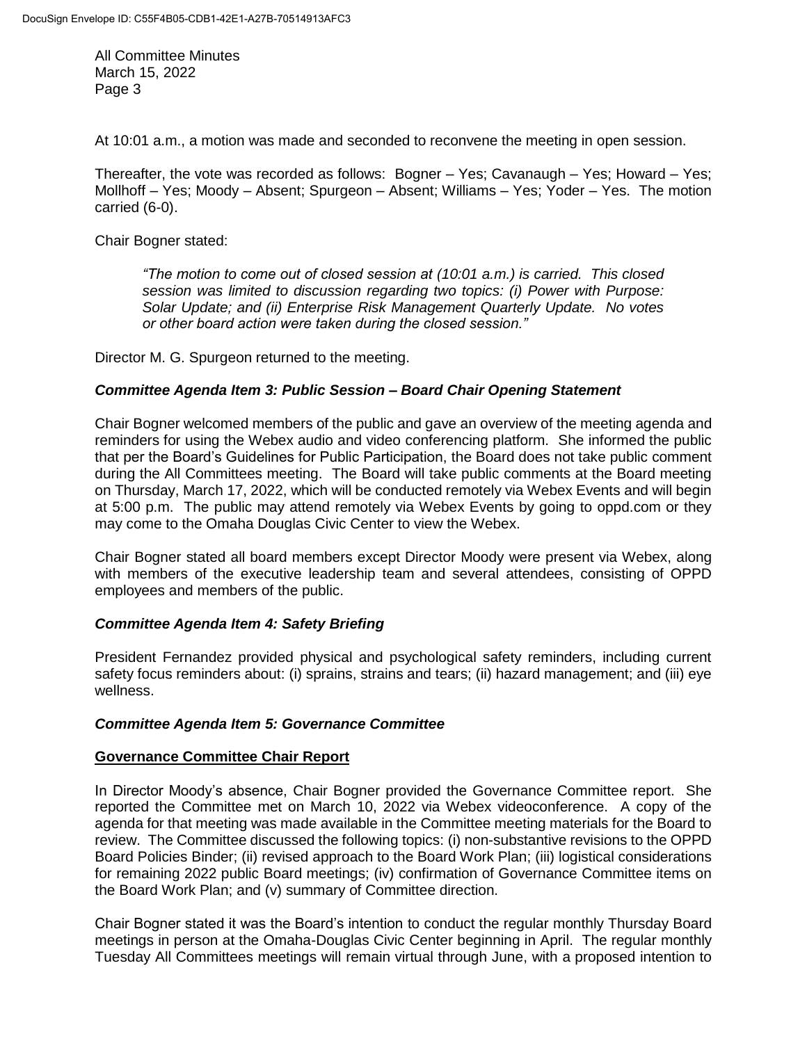At 10:01 a.m., a motion was made and seconded to reconvene the meeting in open session.

Thereafter, the vote was recorded as follows: Bogner – Yes; Cavanaugh – Yes; Howard – Yes; Mollhoff – Yes; Moody – Absent; Spurgeon – Absent; Williams – Yes; Yoder – Yes. The motion carried (6-0).

Chair Bogner stated:

*"The motion to come out of closed session at (10:01 a.m.) is carried. This closed session was limited to discussion regarding two topics: (i) Power with Purpose: Solar Update; and (ii) Enterprise Risk Management Quarterly Update. No votes or other board action were taken during the closed session."* 

Director M. G. Spurgeon returned to the meeting.

# *Committee Agenda Item 3: Public Session – Board Chair Opening Statement*

Chair Bogner welcomed members of the public and gave an overview of the meeting agenda and reminders for using the Webex audio and video conferencing platform. She informed the public that per the Board's Guidelines for Public Participation, the Board does not take public comment during the All Committees meeting. The Board will take public comments at the Board meeting on Thursday, March 17, 2022, which will be conducted remotely via Webex Events and will begin at 5:00 p.m. The public may attend remotely via Webex Events by going to oppd.com or they may come to the Omaha Douglas Civic Center to view the Webex.

Chair Bogner stated all board members except Director Moody were present via Webex, along with members of the executive leadership team and several attendees, consisting of OPPD employees and members of the public.

# *Committee Agenda Item 4: Safety Briefing*

President Fernandez provided physical and psychological safety reminders, including current safety focus reminders about: (i) sprains, strains and tears; (ii) hazard management; and (iii) eye wellness.

# *Committee Agenda Item 5: Governance Committee*

# **Governance Committee Chair Report**

In Director Moody's absence, Chair Bogner provided the Governance Committee report. She reported the Committee met on March 10, 2022 via Webex videoconference. A copy of the agenda for that meeting was made available in the Committee meeting materials for the Board to review. The Committee discussed the following topics: (i) non-substantive revisions to the OPPD Board Policies Binder; (ii) revised approach to the Board Work Plan; (iii) logistical considerations for remaining 2022 public Board meetings; (iv) confirmation of Governance Committee items on the Board Work Plan; and (v) summary of Committee direction.

Chair Bogner stated it was the Board's intention to conduct the regular monthly Thursday Board meetings in person at the Omaha-Douglas Civic Center beginning in April. The regular monthly Tuesday All Committees meetings will remain virtual through June, with a proposed intention to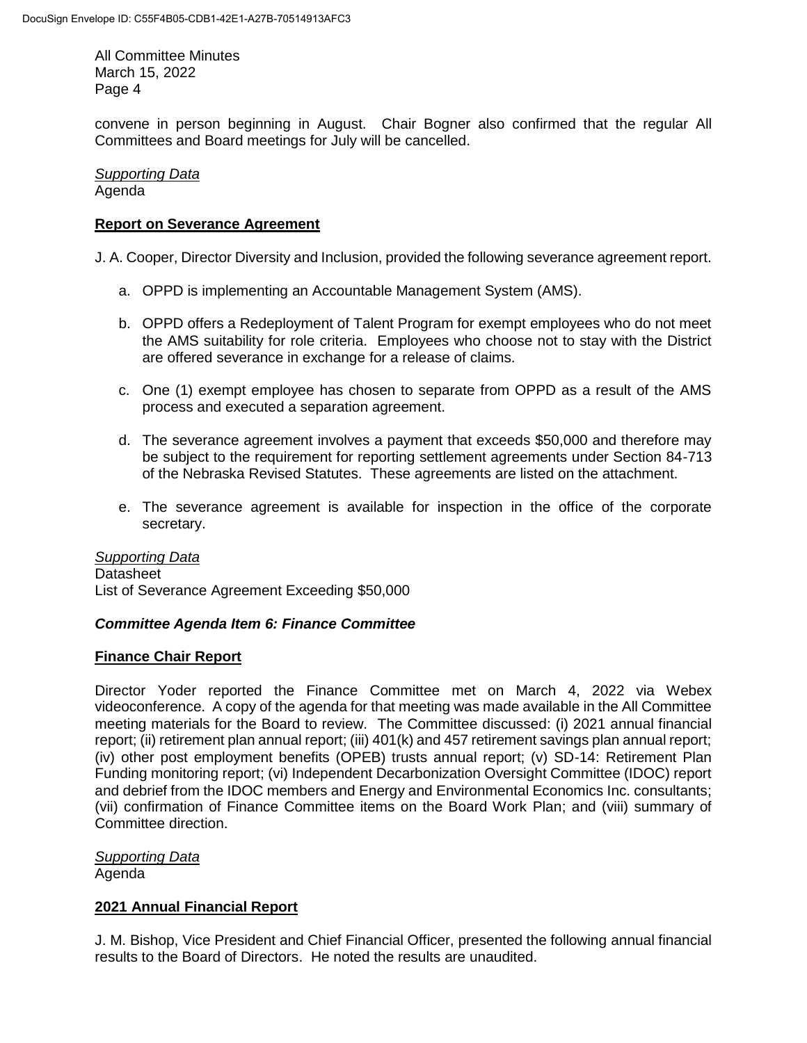convene in person beginning in August. Chair Bogner also confirmed that the regular All Committees and Board meetings for July will be cancelled.

*Supporting Data* Agenda

# **Report on Severance Agreement**

J. A. Cooper, Director Diversity and Inclusion, provided the following severance agreement report.

- a. OPPD is implementing an Accountable Management System (AMS).
- b. OPPD offers a Redeployment of Talent Program for exempt employees who do not meet the AMS suitability for role criteria. Employees who choose not to stay with the District are offered severance in exchange for a release of claims.
- c. One (1) exempt employee has chosen to separate from OPPD as a result of the AMS process and executed a separation agreement.
- d. The severance agreement involves a payment that exceeds \$50,000 and therefore may be subject to the requirement for reporting settlement agreements under Section 84-713 of the Nebraska Revised Statutes. These agreements are listed on the attachment.
- e. The severance agreement is available for inspection in the office of the corporate secretary.

# *Supporting Data*

**Datasheet** List of Severance Agreement Exceeding \$50,000

# *Committee Agenda Item 6: Finance Committee*

# **Finance Chair Report**

Director Yoder reported the Finance Committee met on March 4, 2022 via Webex videoconference. A copy of the agenda for that meeting was made available in the All Committee meeting materials for the Board to review. The Committee discussed: (i) 2021 annual financial report; (ii) retirement plan annual report; (iii) 401(k) and 457 retirement savings plan annual report; (iv) other post employment benefits (OPEB) trusts annual report; (v) SD-14: Retirement Plan Funding monitoring report; (vi) Independent Decarbonization Oversight Committee (IDOC) report and debrief from the IDOC members and Energy and Environmental Economics Inc. consultants; (vii) confirmation of Finance Committee items on the Board Work Plan; and (viii) summary of Committee direction.

#### *Supporting Data* Agenda

# **2021 Annual Financial Report**

J. M. Bishop, Vice President and Chief Financial Officer, presented the following annual financial results to the Board of Directors. He noted the results are unaudited.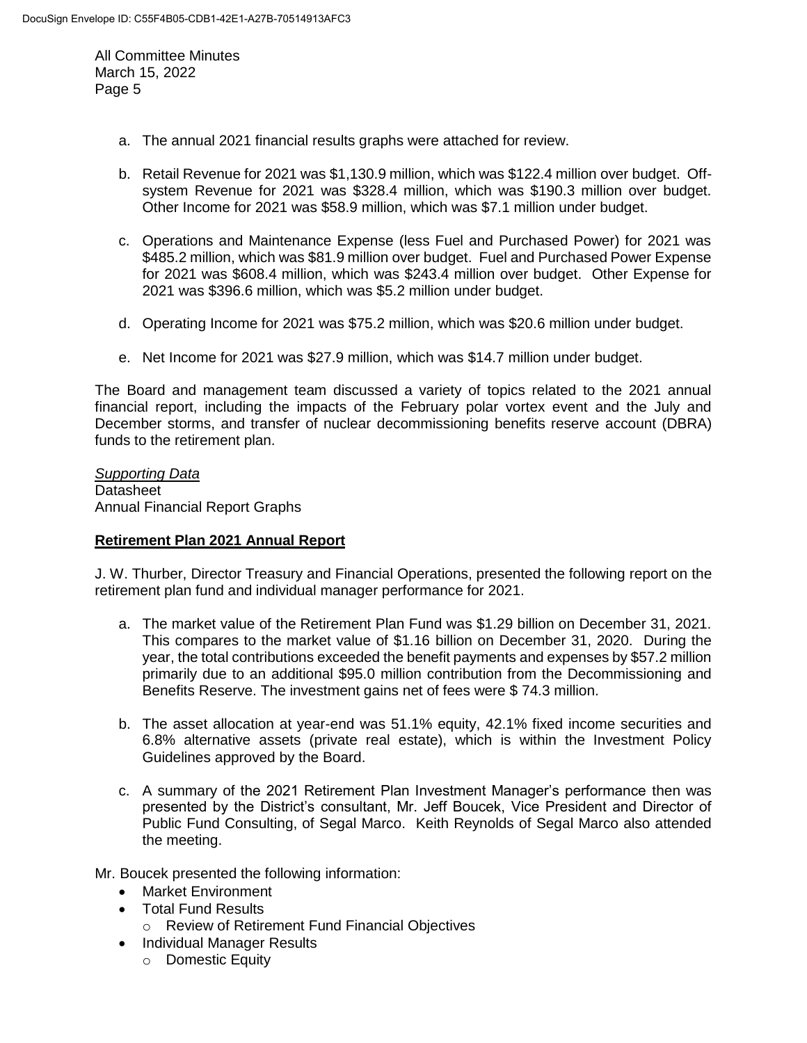- a. The annual 2021 financial results graphs were attached for review.
- b. Retail Revenue for 2021 was \$1,130.9 million, which was \$122.4 million over budget. Offsystem Revenue for 2021 was \$328.4 million, which was \$190.3 million over budget. Other Income for 2021 was \$58.9 million, which was \$7.1 million under budget.
- c. Operations and Maintenance Expense (less Fuel and Purchased Power) for 2021 was \$485.2 million, which was \$81.9 million over budget. Fuel and Purchased Power Expense for 2021 was \$608.4 million, which was \$243.4 million over budget. Other Expense for 2021 was \$396.6 million, which was \$5.2 million under budget.
- d. Operating Income for 2021 was \$75.2 million, which was \$20.6 million under budget.
- e. Net Income for 2021 was \$27.9 million, which was \$14.7 million under budget.

The Board and management team discussed a variety of topics related to the 2021 annual financial report, including the impacts of the February polar vortex event and the July and December storms, and transfer of nuclear decommissioning benefits reserve account (DBRA) funds to the retirement plan.

*Supporting Data* Datasheet Annual Financial Report Graphs

# **Retirement Plan 2021 Annual Report**

J. W. Thurber, Director Treasury and Financial Operations, presented the following report on the retirement plan fund and individual manager performance for 2021.

- a. The market value of the Retirement Plan Fund was \$1.29 billion on December 31, 2021. This compares to the market value of \$1.16 billion on December 31, 2020. During the year, the total contributions exceeded the benefit payments and expenses by \$57.2 million primarily due to an additional \$95.0 million contribution from the Decommissioning and Benefits Reserve. The investment gains net of fees were \$ 74.3 million.
- b. The asset allocation at year-end was 51.1% equity, 42.1% fixed income securities and 6.8% alternative assets (private real estate), which is within the Investment Policy Guidelines approved by the Board.
- c. A summary of the 2021 Retirement Plan Investment Manager's performance then was presented by the District's consultant, Mr. Jeff Boucek, Vice President and Director of Public Fund Consulting, of Segal Marco. Keith Reynolds of Segal Marco also attended the meeting.

Mr. Boucek presented the following information:

- Market Environment
- Total Fund Results
	- o Review of Retirement Fund Financial Objectives
- Individual Manager Results
	- o Domestic Equity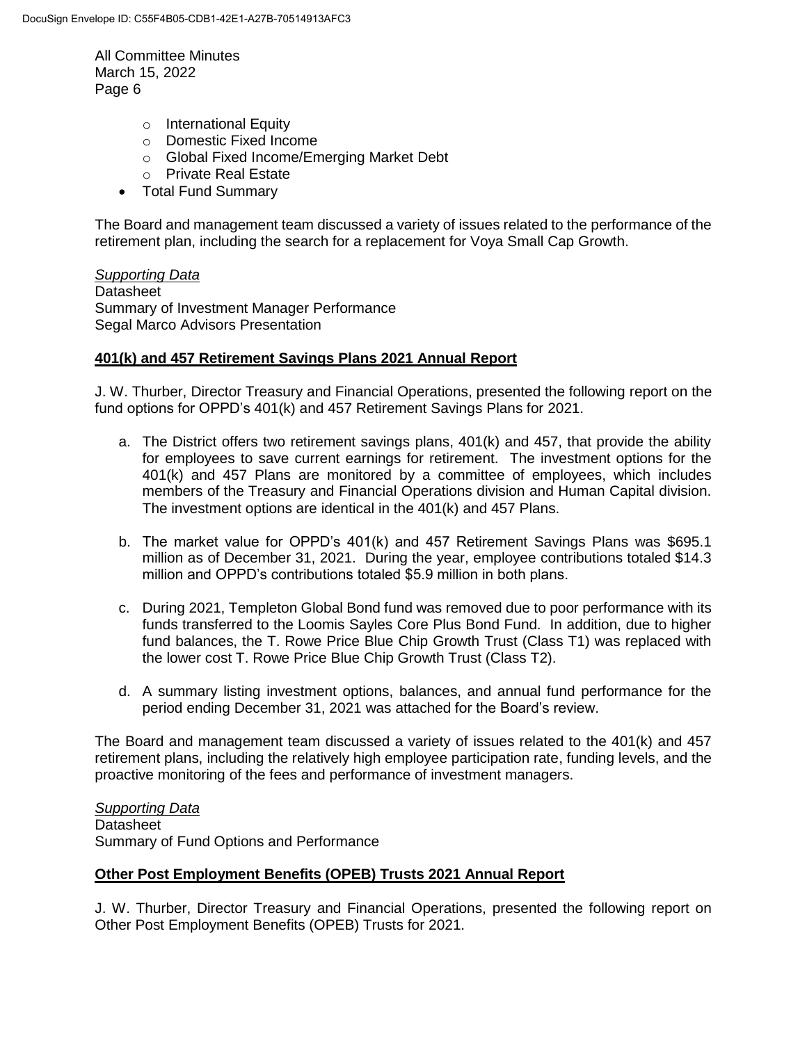- o International Equity
- o Domestic Fixed Income
- o Global Fixed Income/Emerging Market Debt
- o Private Real Estate
- Total Fund Summary

The Board and management team discussed a variety of issues related to the performance of the retirement plan, including the search for a replacement for Voya Small Cap Growth.

# *Supporting Data*

**Datasheet** Summary of Investment Manager Performance Segal Marco Advisors Presentation

# **401(k) and 457 Retirement Savings Plans 2021 Annual Report**

J. W. Thurber, Director Treasury and Financial Operations, presented the following report on the fund options for OPPD's 401(k) and 457 Retirement Savings Plans for 2021.

- a. The District offers two retirement savings plans, 401(k) and 457, that provide the ability for employees to save current earnings for retirement. The investment options for the 401(k) and 457 Plans are monitored by a committee of employees, which includes members of the Treasury and Financial Operations division and Human Capital division. The investment options are identical in the 401(k) and 457 Plans.
- b. The market value for OPPD's 401(k) and 457 Retirement Savings Plans was \$695.1 million as of December 31, 2021. During the year, employee contributions totaled \$14.3 million and OPPD's contributions totaled \$5.9 million in both plans.
- c. During 2021, Templeton Global Bond fund was removed due to poor performance with its funds transferred to the Loomis Sayles Core Plus Bond Fund. In addition, due to higher fund balances, the T. Rowe Price Blue Chip Growth Trust (Class T1) was replaced with the lower cost T. Rowe Price Blue Chip Growth Trust (Class T2).
- d. A summary listing investment options, balances, and annual fund performance for the period ending December 31, 2021 was attached for the Board's review.

The Board and management team discussed a variety of issues related to the 401(k) and 457 retirement plans, including the relatively high employee participation rate, funding levels, and the proactive monitoring of the fees and performance of investment managers.

*Supporting Data* **Datasheet** Summary of Fund Options and Performance

# **Other Post Employment Benefits (OPEB) Trusts 2021 Annual Report**

J. W. Thurber, Director Treasury and Financial Operations, presented the following report on Other Post Employment Benefits (OPEB) Trusts for 2021.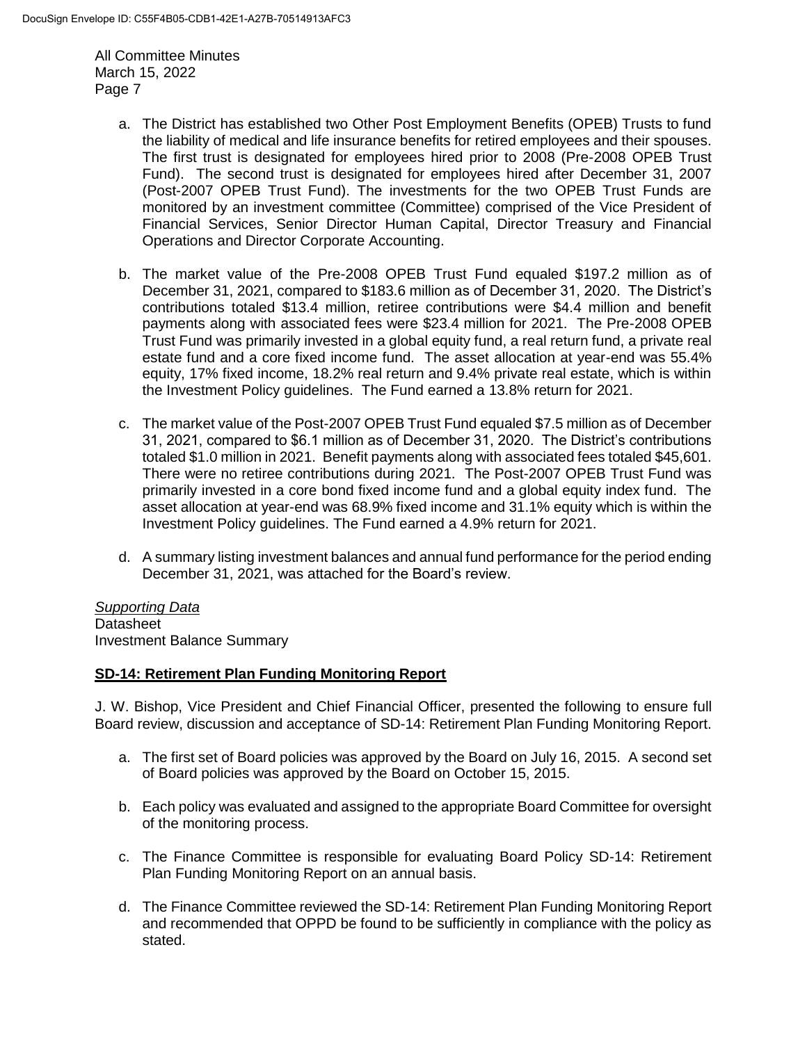- a. The District has established two Other Post Employment Benefits (OPEB) Trusts to fund the liability of medical and life insurance benefits for retired employees and their spouses. The first trust is designated for employees hired prior to 2008 (Pre-2008 OPEB Trust Fund). The second trust is designated for employees hired after December 31, 2007 (Post-2007 OPEB Trust Fund). The investments for the two OPEB Trust Funds are monitored by an investment committee (Committee) comprised of the Vice President of Financial Services, Senior Director Human Capital, Director Treasury and Financial Operations and Director Corporate Accounting.
- b. The market value of the Pre-2008 OPEB Trust Fund equaled \$197.2 million as of December 31, 2021, compared to \$183.6 million as of December 31, 2020. The District's contributions totaled \$13.4 million, retiree contributions were \$4.4 million and benefit payments along with associated fees were \$23.4 million for 2021. The Pre-2008 OPEB Trust Fund was primarily invested in a global equity fund, a real return fund, a private real estate fund and a core fixed income fund. The asset allocation at year-end was 55.4% equity, 17% fixed income, 18.2% real return and 9.4% private real estate, which is within the Investment Policy guidelines. The Fund earned a 13.8% return for 2021.
- c. The market value of the Post-2007 OPEB Trust Fund equaled \$7.5 million as of December 31, 2021, compared to \$6.1 million as of December 31, 2020. The District's contributions totaled \$1.0 million in 2021. Benefit payments along with associated fees totaled \$45,601. There were no retiree contributions during 2021. The Post-2007 OPEB Trust Fund was primarily invested in a core bond fixed income fund and a global equity index fund. The asset allocation at year-end was 68.9% fixed income and 31.1% equity which is within the Investment Policy guidelines. The Fund earned a 4.9% return for 2021.
- d. A summary listing investment balances and annual fund performance for the period ending December 31, 2021, was attached for the Board's review.

*Supporting Data* **Datasheet** Investment Balance Summary

# **SD-14: Retirement Plan Funding Monitoring Report**

J. W. Bishop, Vice President and Chief Financial Officer, presented the following to ensure full Board review, discussion and acceptance of SD-14: Retirement Plan Funding Monitoring Report.

- a. The first set of Board policies was approved by the Board on July 16, 2015. A second set of Board policies was approved by the Board on October 15, 2015.
- b. Each policy was evaluated and assigned to the appropriate Board Committee for oversight of the monitoring process.
- c. The Finance Committee is responsible for evaluating Board Policy SD-14: Retirement Plan Funding Monitoring Report on an annual basis.
- d. The Finance Committee reviewed the SD-14: Retirement Plan Funding Monitoring Report and recommended that OPPD be found to be sufficiently in compliance with the policy as stated.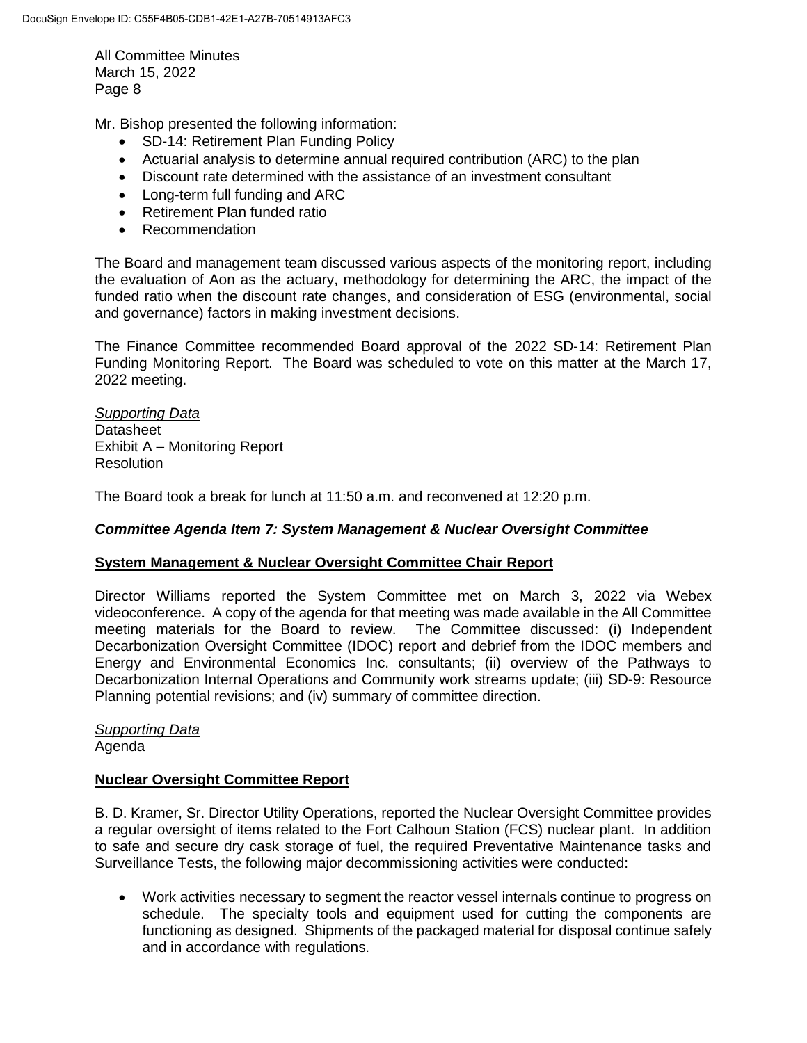Mr. Bishop presented the following information:

- SD-14: Retirement Plan Funding Policy
- Actuarial analysis to determine annual required contribution (ARC) to the plan
- Discount rate determined with the assistance of an investment consultant
- Long-term full funding and ARC
- Retirement Plan funded ratio
- Recommendation

The Board and management team discussed various aspects of the monitoring report, including the evaluation of Aon as the actuary, methodology for determining the ARC, the impact of the funded ratio when the discount rate changes, and consideration of ESG (environmental, social and governance) factors in making investment decisions.

The Finance Committee recommended Board approval of the 2022 SD-14: Retirement Plan Funding Monitoring Report. The Board was scheduled to vote on this matter at the March 17, 2022 meeting.

*Supporting Data* Datasheet Exhibit A – Monitoring Report Resolution

The Board took a break for lunch at 11:50 a.m. and reconvened at 12:20 p.m.

# *Committee Agenda Item 7: System Management & Nuclear Oversight Committee*

#### **System Management & Nuclear Oversight Committee Chair Report**

Director Williams reported the System Committee met on March 3, 2022 via Webex videoconference. A copy of the agenda for that meeting was made available in the All Committee meeting materials for the Board to review. The Committee discussed: (i) Independent Decarbonization Oversight Committee (IDOC) report and debrief from the IDOC members and Energy and Environmental Economics Inc. consultants; (ii) overview of the Pathways to Decarbonization Internal Operations and Community work streams update; (iii) SD-9: Resource Planning potential revisions; and (iv) summary of committee direction.

*Supporting Data* Agenda

# **Nuclear Oversight Committee Report**

B. D. Kramer, Sr. Director Utility Operations, reported the Nuclear Oversight Committee provides a regular oversight of items related to the Fort Calhoun Station (FCS) nuclear plant. In addition to safe and secure dry cask storage of fuel, the required Preventative Maintenance tasks and Surveillance Tests, the following major decommissioning activities were conducted:

 Work activities necessary to segment the reactor vessel internals continue to progress on schedule. The specialty tools and equipment used for cutting the components are functioning as designed. Shipments of the packaged material for disposal continue safely and in accordance with regulations.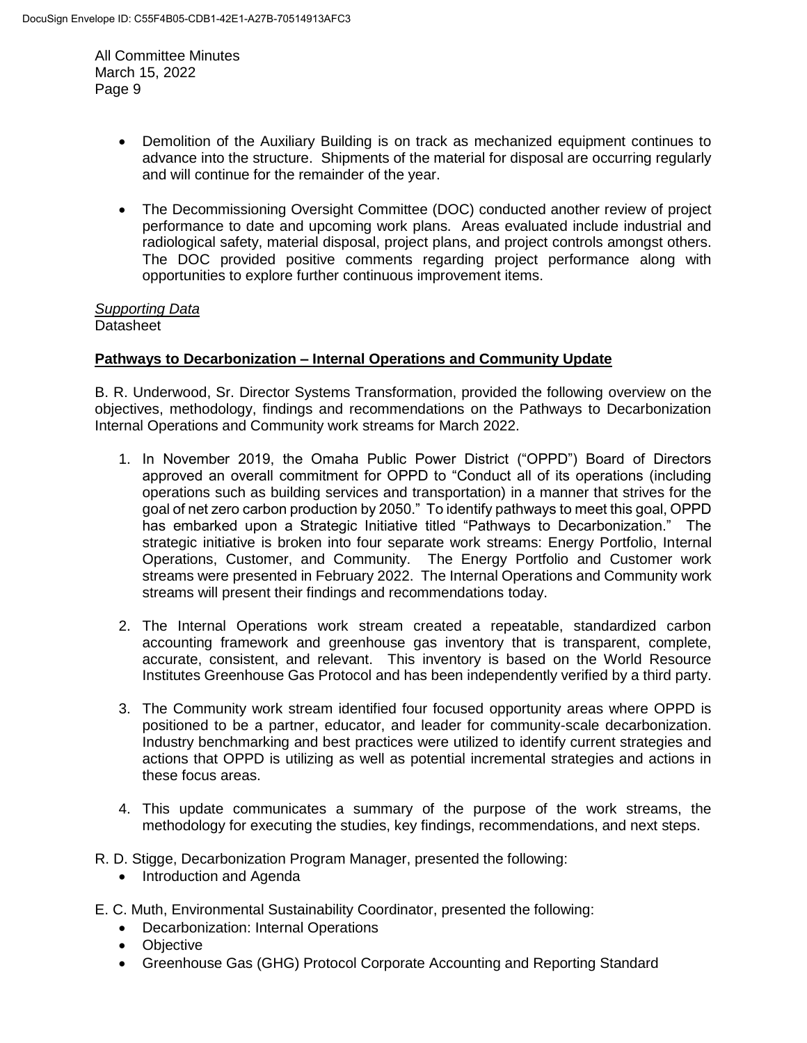- Demolition of the Auxiliary Building is on track as mechanized equipment continues to advance into the structure. Shipments of the material for disposal are occurring regularly and will continue for the remainder of the year.
- The Decommissioning Oversight Committee (DOC) conducted another review of project performance to date and upcoming work plans. Areas evaluated include industrial and radiological safety, material disposal, project plans, and project controls amongst others. The DOC provided positive comments regarding project performance along with opportunities to explore further continuous improvement items.

#### *Supporting Data* **Datasheet**

# **Pathways to Decarbonization – Internal Operations and Community Update**

B. R. Underwood, Sr. Director Systems Transformation, provided the following overview on the objectives, methodology, findings and recommendations on the Pathways to Decarbonization Internal Operations and Community work streams for March 2022.

- 1. In November 2019, the Omaha Public Power District ("OPPD") Board of Directors approved an overall commitment for OPPD to "Conduct all of its operations (including operations such as building services and transportation) in a manner that strives for the goal of net zero carbon production by 2050." To identify pathways to meet this goal, OPPD has embarked upon a Strategic Initiative titled "Pathways to Decarbonization." The strategic initiative is broken into four separate work streams: Energy Portfolio, Internal Operations, Customer, and Community. The Energy Portfolio and Customer work streams were presented in February 2022. The Internal Operations and Community work streams will present their findings and recommendations today.
- 2. The Internal Operations work stream created a repeatable, standardized carbon accounting framework and greenhouse gas inventory that is transparent, complete, accurate, consistent, and relevant. This inventory is based on the World Resource Institutes Greenhouse Gas Protocol and has been independently verified by a third party.
- 3. The Community work stream identified four focused opportunity areas where OPPD is positioned to be a partner, educator, and leader for community-scale decarbonization. Industry benchmarking and best practices were utilized to identify current strategies and actions that OPPD is utilizing as well as potential incremental strategies and actions in these focus areas.
- 4. This update communicates a summary of the purpose of the work streams, the methodology for executing the studies, key findings, recommendations, and next steps.
- R. D. Stigge, Decarbonization Program Manager, presented the following:
	- Introduction and Agenda
- E. C. Muth, Environmental Sustainability Coordinator, presented the following:
	- Decarbonization: Internal Operations
	- Objective
	- Greenhouse Gas (GHG) Protocol Corporate Accounting and Reporting Standard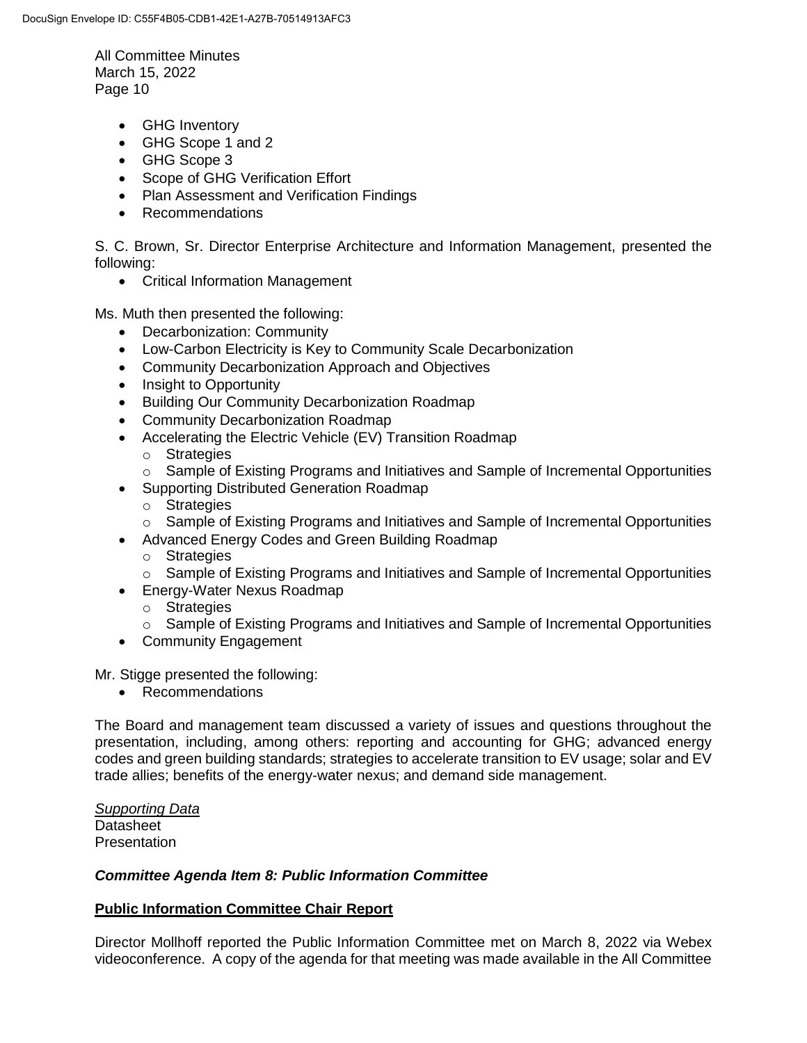- GHG Inventory
- GHG Scope 1 and 2
- GHG Scope 3
- Scope of GHG Verification Effort
- Plan Assessment and Verification Findings
- Recommendations

S. C. Brown, Sr. Director Enterprise Architecture and Information Management, presented the following:

Critical Information Management

Ms. Muth then presented the following:

- Decarbonization: Community
- Low-Carbon Electricity is Key to Community Scale Decarbonization
- Community Decarbonization Approach and Objectives
- Insight to Opportunity
- Building Our Community Decarbonization Roadmap
- Community Decarbonization Roadmap
- Accelerating the Electric Vehicle (EV) Transition Roadmap
	- o Strategies
	- o Sample of Existing Programs and Initiatives and Sample of Incremental Opportunities
- Supporting Distributed Generation Roadmap
	- o Strategies
	- o Sample of Existing Programs and Initiatives and Sample of Incremental Opportunities
- Advanced Energy Codes and Green Building Roadmap
	- o Strategies
	- $\circ$  Sample of Existing Programs and Initiatives and Sample of Incremental Opportunities
- Energy-Water Nexus Roadmap
	- o Strategies
	- o Sample of Existing Programs and Initiatives and Sample of Incremental Opportunities
- Community Engagement

Mr. Stigge presented the following:

• Recommendations

The Board and management team discussed a variety of issues and questions throughout the presentation, including, among others: reporting and accounting for GHG; advanced energy codes and green building standards; strategies to accelerate transition to EV usage; solar and EV trade allies; benefits of the energy-water nexus; and demand side management.

*Supporting Data* **Datasheet Presentation** 

# *Committee Agenda Item 8: Public Information Committee*

# **Public Information Committee Chair Report**

Director Mollhoff reported the Public Information Committee met on March 8, 2022 via Webex videoconference. A copy of the agenda for that meeting was made available in the All Committee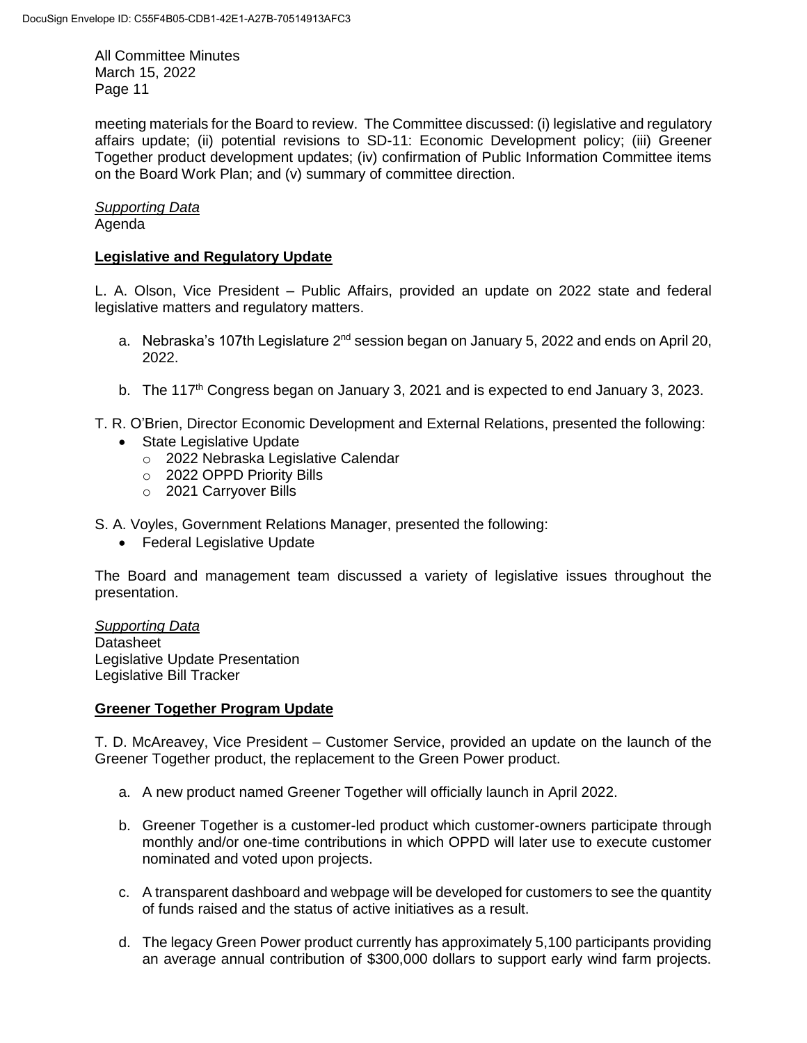meeting materials for the Board to review. The Committee discussed: (i) legislative and regulatory affairs update; (ii) potential revisions to SD-11: Economic Development policy; (iii) Greener Together product development updates; (iv) confirmation of Public Information Committee items on the Board Work Plan; and (v) summary of committee direction.

# *Supporting Data*

# Agenda

# **Legislative and Regulatory Update**

L. A. Olson, Vice President – Public Affairs, provided an update on 2022 state and federal legislative matters and regulatory matters.

- a. Nebraska's 107th Legislature 2<sup>nd</sup> session began on January 5, 2022 and ends on April 20, 2022.
- b. The 117<sup>th</sup> Congress began on January 3, 2021 and is expected to end January 3, 2023.

T. R. O'Brien, Director Economic Development and External Relations, presented the following:

- State Legislative Update
	- o 2022 Nebraska Legislative Calendar
	- o 2022 OPPD Priority Bills
	- o 2021 Carryover Bills

S. A. Voyles, Government Relations Manager, presented the following:

Federal Legislative Update

The Board and management team discussed a variety of legislative issues throughout the presentation.

*Supporting Data* **Datasheet** Legislative Update Presentation Legislative Bill Tracker

# **Greener Together Program Update**

T. D. McAreavey, Vice President – Customer Service, provided an update on the launch of the Greener Together product, the replacement to the Green Power product.

- a. A new product named Greener Together will officially launch in April 2022.
- b. Greener Together is a customer-led product which customer-owners participate through monthly and/or one-time contributions in which OPPD will later use to execute customer nominated and voted upon projects.
- c. A transparent dashboard and webpage will be developed for customers to see the quantity of funds raised and the status of active initiatives as a result.
- d. The legacy Green Power product currently has approximately 5,100 participants providing an average annual contribution of \$300,000 dollars to support early wind farm projects.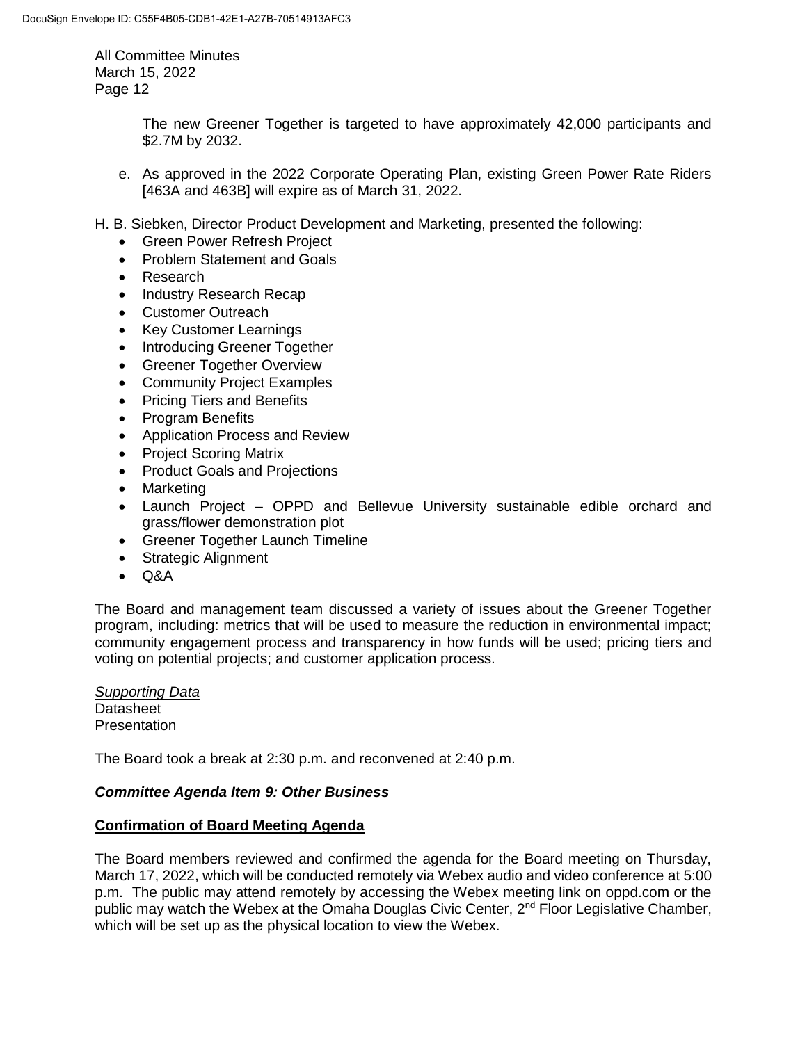> The new Greener Together is targeted to have approximately 42,000 participants and \$2.7M by 2032.

- e. As approved in the 2022 Corporate Operating Plan, existing Green Power Rate Riders [463A and 463B] will expire as of March 31, 2022.
- H. B. Siebken, Director Product Development and Marketing, presented the following:
	- Green Power Refresh Project
	- Problem Statement and Goals
	- Research
	- Industry Research Recap
	- Customer Outreach
	- Key Customer Learnings
	- Introducing Greener Together
	- Greener Together Overview
	- Community Project Examples
	- Pricing Tiers and Benefits
	- Program Benefits
	- Application Process and Review
	- Project Scoring Matrix
	- Product Goals and Projections
	- Marketing
	- Launch Project OPPD and Bellevue University sustainable edible orchard and grass/flower demonstration plot
	- Greener Together Launch Timeline
	- Strategic Alignment
	- $\bullet$  Q&A

The Board and management team discussed a variety of issues about the Greener Together program, including: metrics that will be used to measure the reduction in environmental impact; community engagement process and transparency in how funds will be used; pricing tiers and voting on potential projects; and customer application process.

*Supporting Data* **Datasheet Presentation** 

The Board took a break at 2:30 p.m. and reconvened at 2:40 p.m.

# *Committee Agenda Item 9: Other Business*

# **Confirmation of Board Meeting Agenda**

The Board members reviewed and confirmed the agenda for the Board meeting on Thursday, March 17, 2022, which will be conducted remotely via Webex audio and video conference at 5:00 p.m. The public may attend remotely by accessing the Webex meeting link on oppd.com or the public may watch the Webex at the Omaha Douglas Civic Center, 2nd Floor Legislative Chamber, which will be set up as the physical location to view the Webex.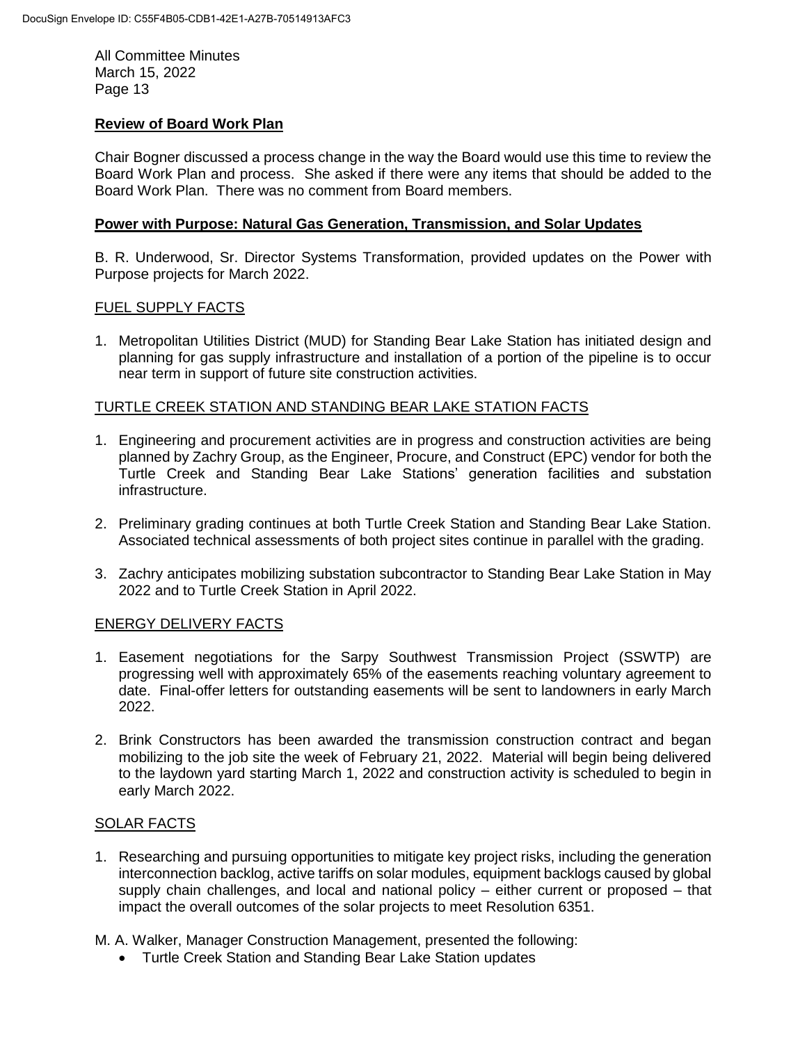# **Review of Board Work Plan**

Chair Bogner discussed a process change in the way the Board would use this time to review the Board Work Plan and process. She asked if there were any items that should be added to the Board Work Plan. There was no comment from Board members.

# **Power with Purpose: Natural Gas Generation, Transmission, and Solar Updates**

B. R. Underwood, Sr. Director Systems Transformation, provided updates on the Power with Purpose projects for March 2022.

#### FUEL SUPPLY FACTS

1. Metropolitan Utilities District (MUD) for Standing Bear Lake Station has initiated design and planning for gas supply infrastructure and installation of a portion of the pipeline is to occur near term in support of future site construction activities.

# TURTLE CREEK STATION AND STANDING BEAR LAKE STATION FACTS

- 1. Engineering and procurement activities are in progress and construction activities are being planned by Zachry Group, as the Engineer, Procure, and Construct (EPC) vendor for both the Turtle Creek and Standing Bear Lake Stations' generation facilities and substation infrastructure.
- 2. Preliminary grading continues at both Turtle Creek Station and Standing Bear Lake Station. Associated technical assessments of both project sites continue in parallel with the grading.
- 3. Zachry anticipates mobilizing substation subcontractor to Standing Bear Lake Station in May 2022 and to Turtle Creek Station in April 2022.

# ENERGY DELIVERY FACTS

- 1. Easement negotiations for the Sarpy Southwest Transmission Project (SSWTP) are progressing well with approximately 65% of the easements reaching voluntary agreement to date. Final-offer letters for outstanding easements will be sent to landowners in early March 2022.
- 2. Brink Constructors has been awarded the transmission construction contract and began mobilizing to the job site the week of February 21, 2022. Material will begin being delivered to the laydown yard starting March 1, 2022 and construction activity is scheduled to begin in early March 2022.

# SOLAR FACTS

- 1. Researching and pursuing opportunities to mitigate key project risks, including the generation interconnection backlog, active tariffs on solar modules, equipment backlogs caused by global supply chain challenges, and local and national policy – either current or proposed – that impact the overall outcomes of the solar projects to meet Resolution 6351.
- M. A. Walker, Manager Construction Management, presented the following:
	- Turtle Creek Station and Standing Bear Lake Station updates